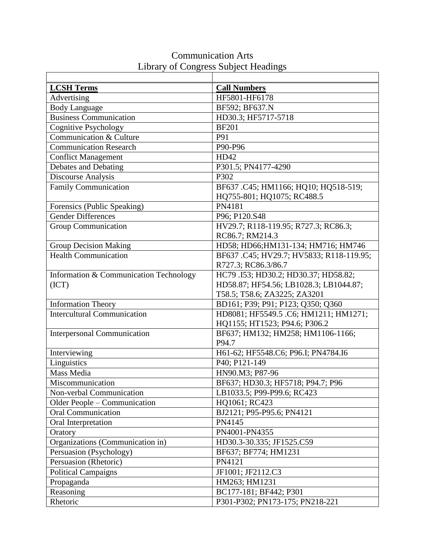| <b>LCSH Terms</b>                      | <b>Call Numbers</b>                     |
|----------------------------------------|-----------------------------------------|
| Advertising                            | HF5801-HF6178                           |
| <b>Body Language</b>                   | BF592; BF637.N                          |
| <b>Business Communication</b>          | HD30.3; HF5717-5718                     |
| <b>Cognitive Psychology</b>            | <b>BF201</b>                            |
| Communication & Culture                | P91                                     |
| <b>Communication Research</b>          | P90-P96                                 |
| <b>Conflict Management</b>             | HD42                                    |
| Debates and Debating                   | P301.5; PN4177-4290                     |
| Discourse Analysis                     | P302                                    |
| <b>Family Communication</b>            | BF637 .C45; HM1166; HQ10; HQ518-519;    |
|                                        | HQ755-801; HQ1075; RC488.5              |
| Forensics (Public Speaking)            | PN4181                                  |
| <b>Gender Differences</b>              | P96; P120.S48                           |
| <b>Group Communication</b>             | HV29.7; R118-119.95; R727.3; RC86.3;    |
|                                        | RC86.7; RM214.3                         |
| <b>Group Decision Making</b>           | HD58; HD66; HM131-134; HM716; HM746     |
| <b>Health Communication</b>            | BF637.C45; HV29.7; HV5833; R118-119.95; |
|                                        | R727.3; RC86.3/86.7                     |
| Information & Communication Technology | HC79 .I53; HD30.2; HD30.37; HD58.82;    |
| (ICT)                                  | HD58.87; HF54.56; LB1028.3; LB1044.87;  |
|                                        | T58.5; T58.6; ZA3225; ZA3201            |
| <b>Information Theory</b>              | BD161; P39; P91; P123; Q350; Q360       |
| <b>Intercultural Communication</b>     | HD8081; HF5549.5 .C6; HM1211; HM1271;   |
|                                        | HQ1155; HT1523; P94.6; P306.2           |
| <b>Interpersonal Communication</b>     | BF637; HM132; HM258; HM1106-1166;       |
|                                        | P94.7                                   |
| Interviewing                           | H61-62; HF5548.C6; P96.I; PN4784.I6     |
| Linguistics                            | P40; P121-149                           |
| Mass Media                             | HN90.M3; P87-96                         |
| Miscommunication                       | BF637; HD30.3; HF5718; P94.7; P96       |
| Non-verbal Communication               | LB1033.5; P99-P99.6; RC423              |
| Older People - Communication           | HQ1061; RC423                           |
| <b>Oral Communication</b>              | BJ2121; P95-P95.6; PN4121               |
| Oral Interpretation                    | PN4145                                  |
| Oratory                                | PN4001-PN4355                           |
| Organizations (Communication in)       | HD30.3-30.335; JF1525.C59               |
| Persuasion (Psychology)                | BF637; BF774; HM1231                    |
| Persuasion (Rhetoric)                  | PN4121                                  |
| <b>Political Campaigns</b>             | JF1001; JF2112.C3                       |
| Propaganda                             | HM263; HM1231                           |
| Reasoning                              | BC177-181; BF442; P301                  |
| Rhetoric                               | P301-P302; PN173-175; PN218-221         |

## Communication Arts Library of Congress Subject Headings